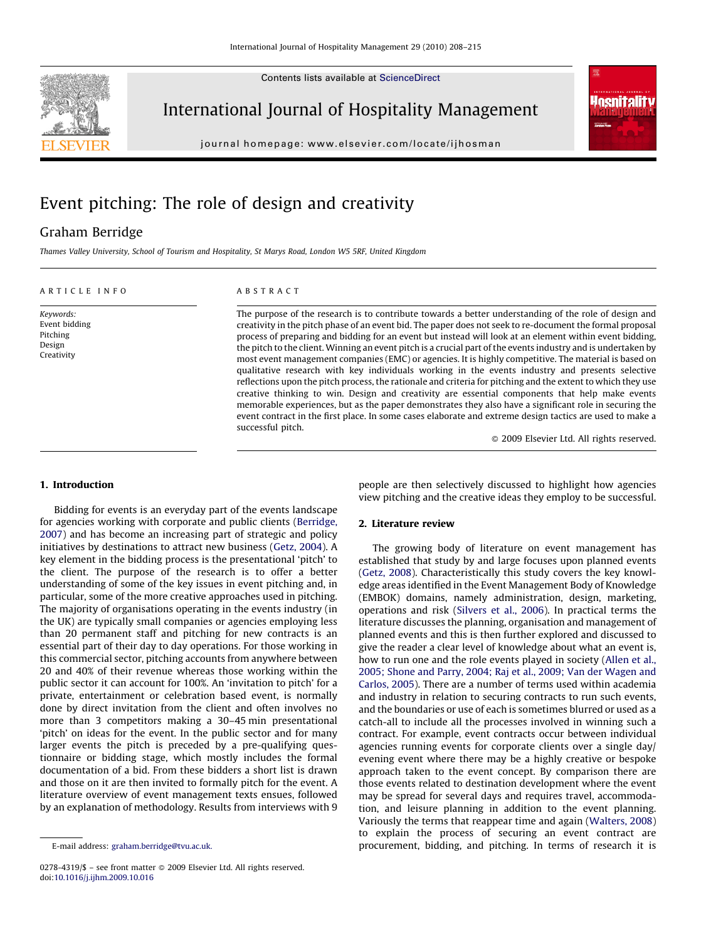Contents lists available at [ScienceDirect](http://www.sciencedirect.com/science/journal/02784319)



International Journal of Hospitality Management

journal homepage: www.elsevier.com/locate/ijhosman



# Event pitching: The role of design and creativity

# Graham Berridge

Thames Valley University, School of Tourism and Hospitality, St Marys Road, London W5 5RF, United Kingdom

# ARTICLE INFO

Keywords: Event bidding Pitching Design Creativity

ABSTRACT

The purpose of the research is to contribute towards a better understanding of the role of design and creativity in the pitch phase of an event bid. The paper does not seek to re-document the formal proposal process of preparing and bidding for an event but instead will look at an element within event bidding, the pitch to the client. Winning an event pitch is a crucial part of the events industry and is undertaken by most event management companies (EMC) or agencies. It is highly competitive. The material is based on qualitative research with key individuals working in the events industry and presents selective reflections upon the pitch process, the rationale and criteria for pitching and the extent to which they use creative thinking to win. Design and creativity are essential components that help make events memorable experiences, but as the paper demonstrates they also have a significant role in securing the event contract in the first place. In some cases elaborate and extreme design tactics are used to make a successful pitch.

- 2009 Elsevier Ltd. All rights reserved.

#### 1. Introduction

Bidding for events is an everyday part of the events landscape for agencies working with corporate and public clients ([Berridge,](#page--1-0) [2007\)](#page--1-0) and has become an increasing part of strategic and policy initiatives by destinations to attract new business ([Getz, 2004\)](#page--1-0). A key element in the bidding process is the presentational 'pitch' to the client. The purpose of the research is to offer a better understanding of some of the key issues in event pitching and, in particular, some of the more creative approaches used in pitching. The majority of organisations operating in the events industry (in the UK) are typically small companies or agencies employing less than 20 permanent staff and pitching for new contracts is an essential part of their day to day operations. For those working in this commercial sector, pitching accounts from anywhere between 20 and 40% of their revenue whereas those working within the public sector it can account for 100%. An 'invitation to pitch' for a private, entertainment or celebration based event, is normally done by direct invitation from the client and often involves no more than 3 competitors making a 30–45 min presentational 'pitch' on ideas for the event. In the public sector and for many larger events the pitch is preceded by a pre-qualifying questionnaire or bidding stage, which mostly includes the formal documentation of a bid. From these bidders a short list is drawn and those on it are then invited to formally pitch for the event. A literature overview of event management texts ensues, followed by an explanation of methodology. Results from interviews with 9

people are then selectively discussed to highlight how agencies view pitching and the creative ideas they employ to be successful.

#### 2. Literature review

The growing body of literature on event management has established that study by and large focuses upon planned events ([Getz, 2008](#page--1-0)). Characteristically this study covers the key knowledge areas identified in the Event Management Body of Knowledge (EMBOK) domains, namely administration, design, marketing, operations and risk ([Silvers et al., 2006](#page--1-0)). In practical terms the literature discusses the planning, organisation and management of planned events and this is then further explored and discussed to give the reader a clear level of knowledge about what an event is, how to run one and the role events played in society ([Allen et al.,](#page--1-0) [2005; Shone and Parry, 2004; Raj et al., 2009; Van der Wagen and](#page--1-0) [Carlos, 2005\)](#page--1-0). There are a number of terms used within academia and industry in relation to securing contracts to run such events, and the boundaries or use of each is sometimes blurred or used as a catch-all to include all the processes involved in winning such a contract. For example, event contracts occur between individual agencies running events for corporate clients over a single day/ evening event where there may be a highly creative or bespoke approach taken to the event concept. By comparison there are those events related to destination development where the event may be spread for several days and requires travel, accommodation, and leisure planning in addition to the event planning. Variously the terms that reappear time and again [\(Walters, 2008\)](#page--1-0) to explain the process of securing an event contract are procurement, bidding, and pitching. In terms of research it is

E-mail address: [graham.berridge@tvu.ac.uk.](mailto:graham.berridge@tvu.ac.uk)

<sup>0278-4319/\$ –</sup> see front matter © 2009 Elsevier Ltd. All rights reserved. doi:[10.1016/j.ijhm.2009.10.016](http://dx.doi.org/10.1016/j.ijhm.2009.10.016)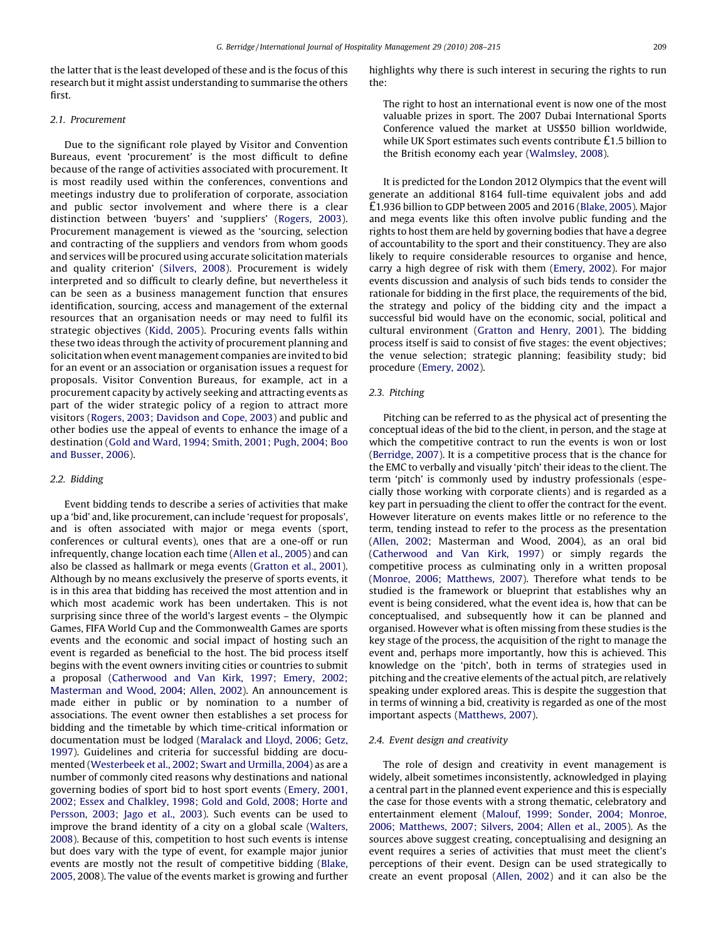the latter that is the least developed of these and is the focus of this research but it might assist understanding to summarise the others first.

# 2.1. Procurement

Due to the significant role played by Visitor and Convention Bureaus, event 'procurement' is the most difficult to define because of the range of activities associated with procurement. It is most readily used within the conferences, conventions and meetings industry due to proliferation of corporate, association and public sector involvement and where there is a clear distinction between 'buyers' and 'suppliers' ([Rogers, 2003](#page--1-0)). Procurement management is viewed as the 'sourcing, selection and contracting of the suppliers and vendors from whom goods and services will be procured using accurate solicitation materials and quality criterion' [\(Silvers, 2008](#page--1-0)). Procurement is widely interpreted and so difficult to clearly define, but nevertheless it can be seen as a business management function that ensures identification, sourcing, access and management of the external resources that an organisation needs or may need to fulfil its strategic objectives ([Kidd, 2005](#page--1-0)). Procuring events falls within these two ideas through the activity of procurement planning and solicitation when event management companies are invited to bid for an event or an association or organisation issues a request for proposals. Visitor Convention Bureaus, for example, act in a procurement capacity by actively seeking and attracting events as part of the wider strategic policy of a region to attract more visitors ([Rogers, 2003; Davidson and Cope, 2003](#page--1-0)) and public and other bodies use the appeal of events to enhance the image of a destination ([Gold and Ward, 1994; Smith, 2001; Pugh, 2004; Boo](#page--1-0) [and Busser, 2006](#page--1-0)).

# 2.2. Bidding

Event bidding tends to describe a series of activities that make up a 'bid' and, like procurement, can include 'request for proposals', and is often associated with major or mega events (sport, conferences or cultural events), ones that are a one-off or run infrequently, change location each time ([Allen et al., 2005](#page--1-0)) and can also be classed as hallmark or mega events [\(Gratton et al., 2001\)](#page--1-0). Although by no means exclusively the preserve of sports events, it is in this area that bidding has received the most attention and in which most academic work has been undertaken. This is not surprising since three of the world's largest events – the Olympic Games, FIFA World Cup and the Commonwealth Games are sports events and the economic and social impact of hosting such an event is regarded as beneficial to the host. The bid process itself begins with the event owners inviting cities or countries to submit a proposal ([Catherwood and Van Kirk, 1997; Emery, 2002;](#page--1-0) [Masterman and Wood, 2004; Allen, 2002\)](#page--1-0). An announcement is made either in public or by nomination to a number of associations. The event owner then establishes a set process for bidding and the timetable by which time-critical information or documentation must be lodged [\(Maralack and Lloyd, 2006; Getz,](#page--1-0) [1997\)](#page--1-0). Guidelines and criteria for successful bidding are documented ([Westerbeek et al., 2002; Swart and Urmilla, 2004\)](#page--1-0) as are a number of commonly cited reasons why destinations and national governing bodies of sport bid to host sport events [\(Emery, 2001,](#page--1-0) [2002; Essex and Chalkley, 1998; Gold and Gold, 2008; Horte and](#page--1-0) [Persson, 2003; Jago et al., 2003](#page--1-0)). Such events can be used to improve the brand identity of a city on a global scale ([Walters,](#page--1-0) [2008\)](#page--1-0). Because of this, competition to host such events is intense but does vary with the type of event, for example major junior events are mostly not the result of competitive bidding ([Blake,](#page--1-0) [2005,](#page--1-0) 2008). The value of the events market is growing and further

highlights why there is such interest in securing the rights to run the:

The right to host an international event is now one of the most valuable prizes in sport. The 2007 Dubai International Sports Conference valued the market at US\$50 billion worldwide, while UK Sport estimates such events contribute £1.5 billion to the British economy each year ([Walmsley, 2008\)](#page--1-0).

It is predicted for the London 2012 Olympics that the event will generate an additional 8164 full-time equivalent jobs and add £1.936 billion to GDP between 2005 and 2016 ([Blake, 2005](#page--1-0)). Major and mega events like this often involve public funding and the rights to host them are held by governing bodies that have a degree of accountability to the sport and their constituency. They are also likely to require considerable resources to organise and hence, carry a high degree of risk with them [\(Emery, 2002](#page--1-0)). For major events discussion and analysis of such bids tends to consider the rationale for bidding in the first place, the requirements of the bid, the strategy and policy of the bidding city and the impact a successful bid would have on the economic, social, political and cultural environment [\(Gratton and Henry, 2001](#page--1-0)). The bidding process itself is said to consist of five stages: the event objectives; the venue selection; strategic planning; feasibility study; bid procedure [\(Emery, 2002\)](#page--1-0).

# 2.3. Pitching

Pitching can be referred to as the physical act of presenting the conceptual ideas of the bid to the client, in person, and the stage at which the competitive contract to run the events is won or lost ([Berridge, 2007](#page--1-0)). It is a competitive process that is the chance for the EMC to verbally and visually 'pitch' their ideas to the client. The term 'pitch' is commonly used by industry professionals (especially those working with corporate clients) and is regarded as a key part in persuading the client to offer the contract for the event. However literature on events makes little or no reference to the term, tending instead to refer to the process as the presentation ([Allen, 2002](#page--1-0); Masterman and Wood, 2004), as an oral bid ([Catherwood and Van Kirk, 1997\)](#page--1-0) or simply regards the competitive process as culminating only in a written proposal ([Monroe, 2006; Matthews, 2007](#page--1-0)). Therefore what tends to be studied is the framework or blueprint that establishes why an event is being considered, what the event idea is, how that can be conceptualised, and subsequently how it can be planned and organised. However what is often missing from these studies is the key stage of the process, the acquisition of the right to manage the event and, perhaps more importantly, how this is achieved. This knowledge on the 'pitch', both in terms of strategies used in pitching and the creative elements of the actual pitch, are relatively speaking under explored areas. This is despite the suggestion that in terms of winning a bid, creativity is regarded as one of the most important aspects ([Matthews, 2007\)](#page--1-0).

# 2.4. Event design and creativity

The role of design and creativity in event management is widely, albeit sometimes inconsistently, acknowledged in playing a central part in the planned event experience and this is especially the case for those events with a strong thematic, celebratory and entertainment element [\(Malouf, 1999; Sonder, 2004; Monroe,](#page--1-0) [2006; Matthews, 2007; Silvers, 2004; Allen et al., 2005](#page--1-0)). As the sources above suggest creating, conceptualising and designing an event requires a series of activities that must meet the client's perceptions of their event. Design can be used strategically to create an event proposal ([Allen, 2002\)](#page--1-0) and it can also be the